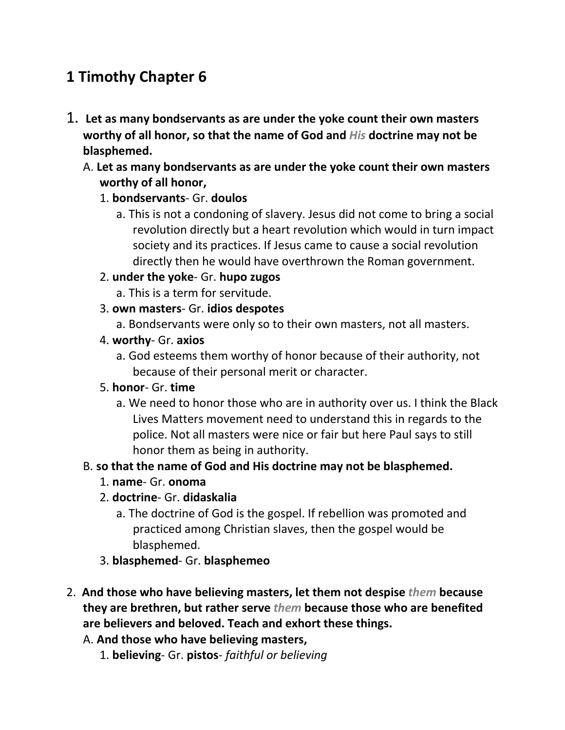# **1 Timothy Chapter 6**

- 1. **Let as many bondservants as are under the yoke count their own masters worthy of all honor, so that the name of God and** *His* **doctrine may not be blasphemed.** 
	- A. **Let as many bondservants as are under the yoke count their own masters worthy of all honor,**

### 1. **bondservants**- Gr. **doulos**

a. This is not a condoning of slavery. Jesus did not come to bring a social revolution directly but a heart revolution which would in turn impact society and its practices. If Jesus came to cause a social revolution directly then he would have overthrown the Roman government.

### 2. **under the yoke**- Gr. **hupo zugos**

- a. This is a term for servitude.
- 3. **own masters** Gr. **idios despotes**
	- a. Bondservants were only so to their own masters, not all masters.
- 4. **worthy** Gr. **axios**
	- a. God esteems them worthy of honor because of their authority, not because of their personal merit or character.

#### 5. **honor**- Gr. **time**

a. We need to honor those who are in authority over us. I think the Black Lives Matters movement need to understand this in regards to the police. Not all masters were nice or fair but here Paul says to still honor them as being in authority.

## B. **so that the name of God and His doctrine may not be blasphemed.**

- 1. **name** Gr. **onoma**
- 2. **doctrine** Gr. **didaskalia**
	- a. The doctrine of God is the gospel. If rebellion was promoted and practiced among Christian slaves, then the gospel would be blasphemed.
- 3. **blasphemed** Gr. **blasphemeo**
- 2. **And those who have believing masters, let them not despise** *them* **because they are brethren, but rather serve** *them* **because those who are benefited are believers and beloved. Teach and exhort these things.** 
	- A. **And those who have believing masters,**
		- 1. **believing** Gr. **pistos** *faithful or believing*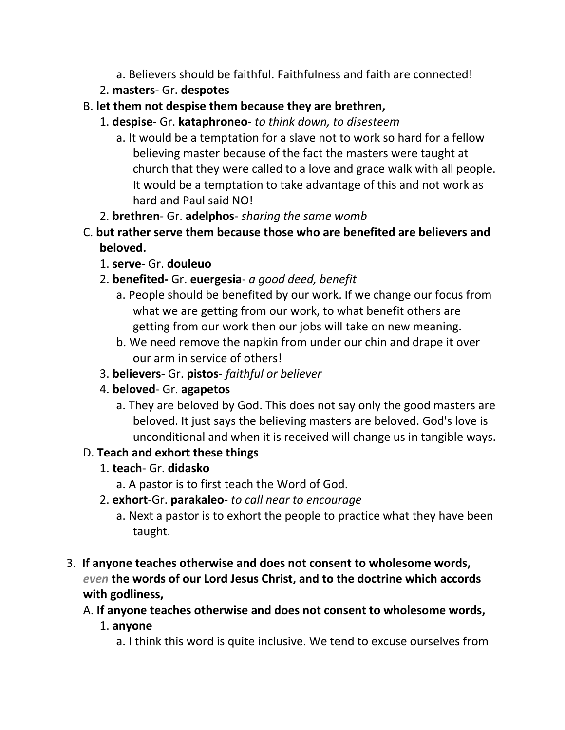- a. Believers should be faithful. Faithfulness and faith are connected!
- 2. **masters** Gr. **despotes**
- B. **let them not despise them because they are brethren,**
	- 1. **despise** Gr. **kataphroneo** *to think down, to disesteem*
		- a. It would be a temptation for a slave not to work so hard for a fellow believing master because of the fact the masters were taught at church that they were called to a love and grace walk with all people. It would be a temptation to take advantage of this and not work as hard and Paul said NO!
	- 2. **brethren** Gr. **adelphos** *sharing the same womb*
- C. **but rather serve them because those who are benefited are believers and beloved.**
	- 1. **serve** Gr. **douleuo**
	- 2. **benefited-** Gr. **euergesia** *a good deed, benefit*
		- a. People should be benefited by our work. If we change our focus from what we are getting from our work, to what benefit others are getting from our work then our jobs will take on new meaning.
		- b. We need remove the napkin from under our chin and drape it over our arm in service of others!
	- 3. **believers** Gr. **pistos** *faithful or believer*
	- 4. **beloved** Gr. **agapetos**
		- a. They are beloved by God. This does not say only the good masters are beloved. It just says the believing masters are beloved. God's love is unconditional and when it is received will change us in tangible ways.

# D. **Teach and exhort these things**

- 1. **teach** Gr. **didasko**
	- a. A pastor is to first teach the Word of God.
- 2. **exhort**-Gr. **parakaleo** *to call near to encourage*
	- a. Next a pastor is to exhort the people to practice what they have been taught.
- 3. **If anyone teaches otherwise and does not consent to wholesome words,**  *even* **the words of our Lord Jesus Christ, and to the doctrine which accords with godliness,** 
	- A. **If anyone teaches otherwise and does not consent to wholesome words,**
		- 1. **anyone**
			- a. I think this word is quite inclusive. We tend to excuse ourselves from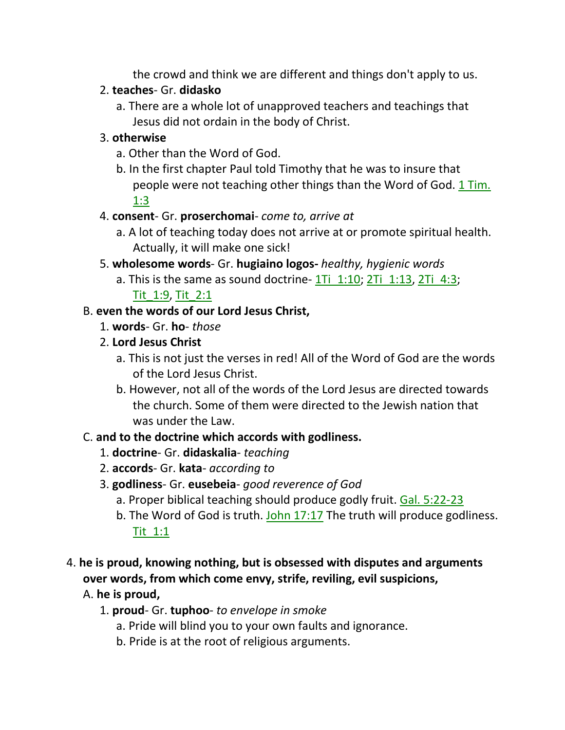the crowd and think we are different and things don't apply to us.

## 2. **teaches**- Gr. **didasko**

a. There are a whole lot of unapproved teachers and teachings that Jesus did not ordain in the body of Christ.

# 3. **otherwise**

- a. Other than the Word of God.
- b. In the first chapter Paul told Timothy that he was to insure that people were not teaching other things than the Word of God. 1 Tim. 1:3

# 4. **consent**- Gr. **proserchomai**- *come to, arrive at*

- a. A lot of teaching today does not arrive at or promote spiritual health. Actually, it will make one sick!
- 5. **wholesome words** Gr. **hugiaino logos-** *healthy, hygienic words*
	- a. This is the same as sound doctrine-  $1Ti$   $1:10$ ;  $2Ti$   $1:13$ ,  $2Ti$   $4:3$ ;

# Tit\_1:9, Tit\_2:1

# B. **even the words of our Lord Jesus Christ,**

- 1. **words** Gr. **ho** *those*
- 2. **Lord Jesus Christ**
	- a. This is not just the verses in red! All of the Word of God are the words of the Lord Jesus Christ.
	- b. However, not all of the words of the Lord Jesus are directed towards the church. Some of them were directed to the Jewish nation that was under the Law.

# C. **and to the doctrine which accords with godliness.**

- 1. **doctrine** Gr. **didaskalia** *teaching*
- 2. **accords** Gr. **kata** *according to*

# 3. **godliness**- Gr. **eusebeia**- *good reverence of God*

- a. Proper biblical teaching should produce godly fruit. Gal. 5:22-23
- b. The Word of God is truth. John 17:17 The truth will produce godliness. Tit\_1:1

# 4. **he is proud, knowing nothing, but is obsessed with disputes and arguments over words, from which come envy, strife, reviling, evil suspicions,**

# A. **he is proud,**

- 1. **proud** Gr. **tuphoo** *to envelope in smoke*
	- a. Pride will blind you to your own faults and ignorance.
	- b. Pride is at the root of religious arguments.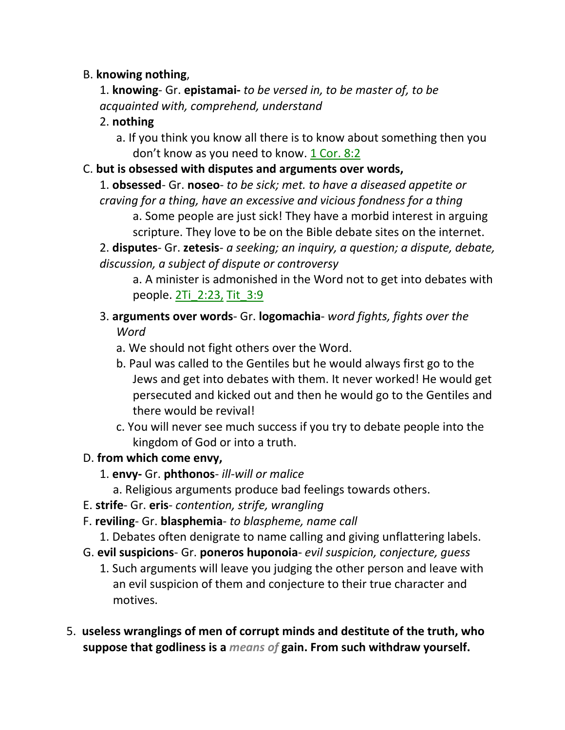### B. **knowing nothing**,

1. **knowing**- Gr. **epistamai-** *to be versed in, to be master of, to be acquainted with, comprehend, understand*

## 2. **nothing**

a. If you think you know all there is to know about something then you don't know as you need to know. 1 Cor. 8:2

#### C. **but is obsessed with disputes and arguments over words,**

- 1. **obsessed** Gr. **noseo** *to be sick; met. to have a diseased appetite or craving for a thing, have an excessive and vicious fondness for a thing*
	- a. Some people are just sick! They have a morbid interest in arguing scripture. They love to be on the Bible debate sites on the internet.

2. **disputes**- Gr. **zetesis**- *a seeking; an inquiry, a question; a dispute, debate, discussion, a subject of dispute or controversy*

a. A minister is admonished in the Word not to get into debates with people. 2Ti\_2:23, Tit\_3:9

- 3. **arguments over words** Gr. **logomachia** *word fights, fights over the Word*
	- a. We should not fight others over the Word.
	- b. Paul was called to the Gentiles but he would always first go to the Jews and get into debates with them. It never worked! He would get persecuted and kicked out and then he would go to the Gentiles and there would be revival!
	- c. You will never see much success if you try to debate people into the kingdom of God or into a truth.

## D. **from which come envy,**

- 1. **envy-** Gr. **phthonos** *ill-will or malice*
	- a. Religious arguments produce bad feelings towards others.
- E. **strife** Gr. **eris** *contention, strife, wrangling*
- F. **reviling** Gr. **blasphemia** *to blaspheme, name call*
	- 1. Debates often denigrate to name calling and giving unflattering labels.
- G. **evil suspicions** Gr. **poneros huponoia** *evil suspicion, conjecture, guess*
	- 1. Such arguments will leave you judging the other person and leave with an evil suspicion of them and conjecture to their true character and motives.
- 5. **useless wranglings of men of corrupt minds and destitute of the truth, who suppose that godliness is a** *means of* **gain. From such withdraw yourself.**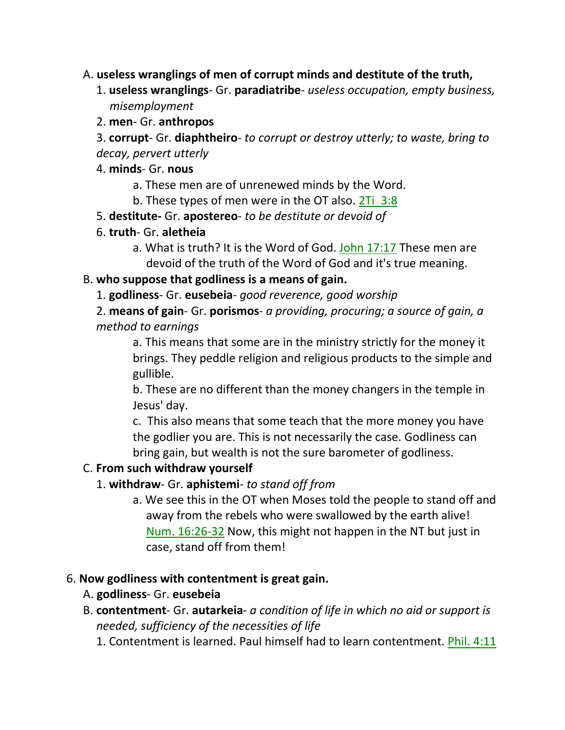### A. **useless wranglings of men of corrupt minds and destitute of the truth,**

- 1. **useless wranglings** Gr. **paradiatribe** *useless occupation, empty business, misemployment*
- 2. **men** Gr. **anthropos**

3. **corrupt**- Gr. **diaphtheiro**- *to corrupt or destroy utterly; to waste, bring to decay, pervert utterly*

#### 4. **minds**- Gr. **nous**

a. These men are of unrenewed minds by the Word.

b. These types of men were in the OT also. 2Ti 3:8

5. **destitute-** Gr. **apostereo**- *to be destitute or devoid of*

- 6. **truth** Gr. **aletheia**
	- a. What is truth? It is the Word of God. John 17:17 These men are devoid of the truth of the Word of God and it's true meaning.

## B. **who suppose that godliness is a means of gain.**

1. **godliness**- Gr. **eusebeia**- *good reverence, good worship*

2. **means of gain**- Gr. **porismos**- *a providing, procuring; a source of gain, a method to earnings*

a. This means that some are in the ministry strictly for the money it brings. They peddle religion and religious products to the simple and gullible.

b. These are no different than the money changers in the temple in Jesus' day.

c. This also means that some teach that the more money you have the godlier you are. This is not necessarily the case. Godliness can bring gain, but wealth is not the sure barometer of godliness.

## C. **From such withdraw yourself**

- 1. **withdraw** Gr. **aphistemi** *to stand off from*
	- a. We see this in the OT when Moses told the people to stand off and away from the rebels who were swallowed by the earth alive! Num. 16:26-32 Now, this might not happen in the NT but just in case, stand off from them!

## 6. **Now godliness with contentment is great gain.**

- A. **godliness** Gr. **eusebeia**
- B. **contentment** Gr. **autarkeia** *a condition of life in which no aid or support is needed, sufficiency of the necessities of life*
	- 1. Contentment is learned. Paul himself had to learn contentment. Phil. 4:11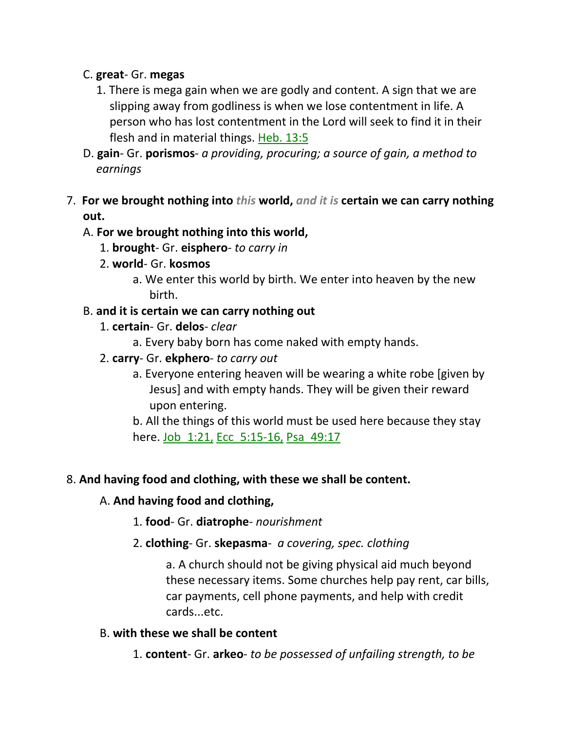### C. **great**- Gr. **megas**

- 1. There is mega gain when we are godly and content. A sign that we are slipping away from godliness is when we lose contentment in life. A person who has lost contentment in the Lord will seek to find it in their flesh and in material things. Heb. 13:5
- D. **gain** Gr. **porismos** *a providing, procuring; a source of gain, a method to earnings*
- 7. **For we brought nothing into** *this* **world,** *and it is* **certain we can carry nothing out.**

### A. **For we brought nothing into this world,**

- 1. **brought** Gr. **eisphero** *to carry in*
- 2. **world** Gr. **kosmos**
	- a. We enter this world by birth. We enter into heaven by the new birth.

### B. **and it is certain we can carry nothing out**

- 1. **certain** Gr. **delos** *clear*
	- a. Every baby born has come naked with empty hands.
- 2. **carry** Gr. **ekphero** *to carry out*
	- a. Everyone entering heaven will be wearing a white robe [given by Jesus] and with empty hands. They will be given their reward upon entering.

b. All the things of this world must be used here because they stay here. Job 1:21, Ecc 5:15-16, Psa 49:17

## 8. **And having food and clothing, with these we shall be content.**

#### A. **And having food and clothing,**

- 1. **food** Gr. **diatrophe** *nourishment*
- 2. **clothing** Gr. **skepasma** *a covering, spec. clothing*

a. A church should not be giving physical aid much beyond these necessary items. Some churches help pay rent, car bills, car payments, cell phone payments, and help with credit cards...etc.

#### B. **with these we shall be content**

1. **content**- Gr. **arkeo**- *to be possessed of unfailing strength, to be*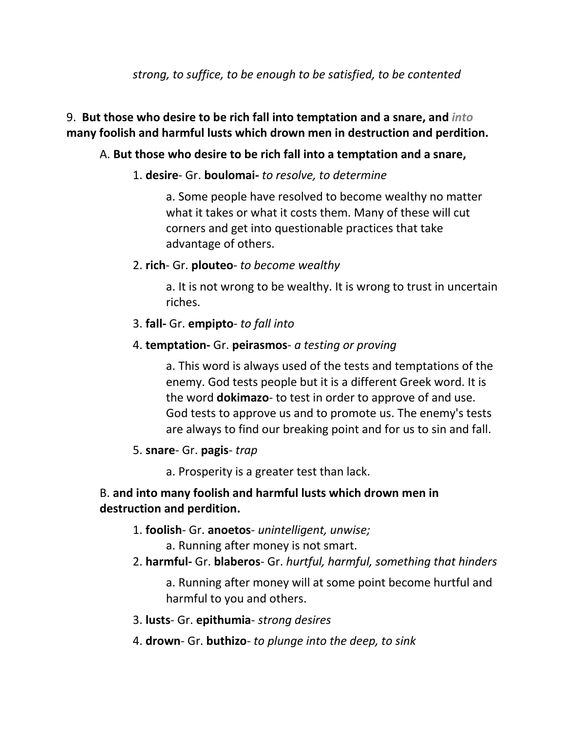## 9. **But those who desire to be rich fall into temptation and a snare, and** *into* **many foolish and harmful lusts which drown men in destruction and perdition.**

### A. **But those who desire to be rich fall into a temptation and a snare,**

#### 1. **desire**- Gr. **boulomai-** *to resolve, to determine*

a. Some people have resolved to become wealthy no matter what it takes or what it costs them. Many of these will cut corners and get into questionable practices that take advantage of others.

#### 2. **rich**- Gr. **plouteo**- *to become wealthy*

a. It is not wrong to be wealthy. It is wrong to trust in uncertain riches.

#### 3. **fall-** Gr. **empipto**- *to fall into*

#### 4. **temptation-** Gr. **peirasmos**- *a testing or proving*

a. This word is always used of the tests and temptations of the enemy. God tests people but it is a different Greek word. It is the word **dokimazo**- to test in order to approve of and use. God tests to approve us and to promote us. The enemy's tests are always to find our breaking point and for us to sin and fall.

#### 5. **snare**- Gr. **pagis**- *trap*

a. Prosperity is a greater test than lack.

### B. **and into many foolish and harmful lusts which drown men in destruction and perdition.**

- 1. **foolish** Gr. **anoetos** *unintelligent, unwise;*
	- a. Running after money is not smart.
- 2. **harmful-** Gr. **blaberos** Gr. *hurtful, harmful, something that hinders*

a. Running after money will at some point become hurtful and harmful to you and others.

- 3. **lusts** Gr. **epithumia** *strong desires*
- 4. **drown** Gr. **buthizo** *to plunge into the deep, to sink*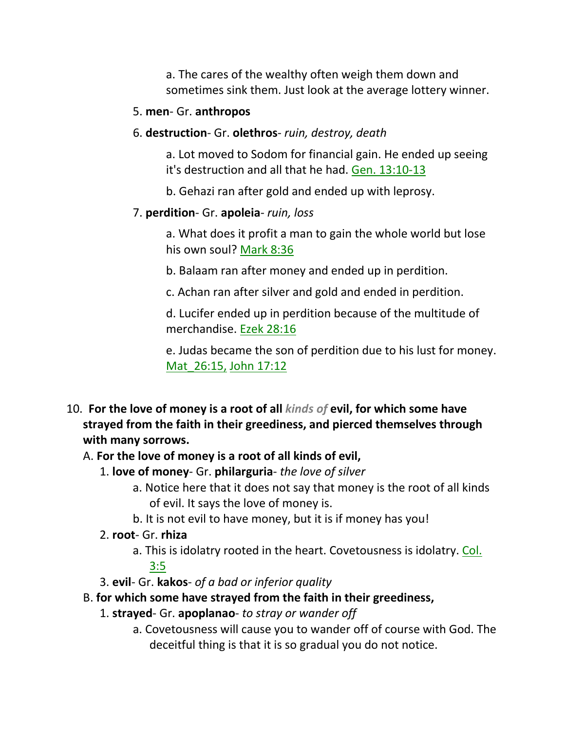a. The cares of the wealthy often weigh them down and sometimes sink them. Just look at the average lottery winner.

#### 5. **men**- Gr. **anthropos**

6. **destruction**- Gr. **olethros**- *ruin, destroy, death*

a. Lot moved to Sodom for financial gain. He ended up seeing it's destruction and all that he had. Gen. 13:10-13

b. Gehazi ran after gold and ended up with leprosy.

#### 7. **perdition**- Gr. **apoleia**- *ruin, loss*

a. What does it profit a man to gain the whole world but lose his own soul? Mark 8:36

b. Balaam ran after money and ended up in perdition.

c. Achan ran after silver and gold and ended in perdition.

d. Lucifer ended up in perdition because of the multitude of merchandise. Ezek 28:16

e. Judas became the son of perdition due to his lust for money. Mat\_26:15, John 17:12

10. **For the love of money is a root of all** *kinds of* **evil, for which some have strayed from the faith in their greediness, and pierced themselves through with many sorrows.** 

#### A. **For the love of money is a root of all kinds of evil,**

- 1. **love of money** Gr. **philarguria** *the love of silver*
	- a. Notice here that it does not say that money is the root of all kinds of evil. It says the love of money is.
	- b. It is not evil to have money, but it is if money has you!

#### 2. **root**- Gr. **rhiza**

- a. This is idolatry rooted in the heart. Covetousness is idolatry. Col.  $3:5$
- 3. **evil** Gr. **kakos** *of a bad or inferior quality*
- B. **for which some have strayed from the faith in their greediness,**
	- 1. **strayed** Gr. **apoplanao** *to stray or wander off*
		- a. Covetousness will cause you to wander off of course with God. The deceitful thing is that it is so gradual you do not notice.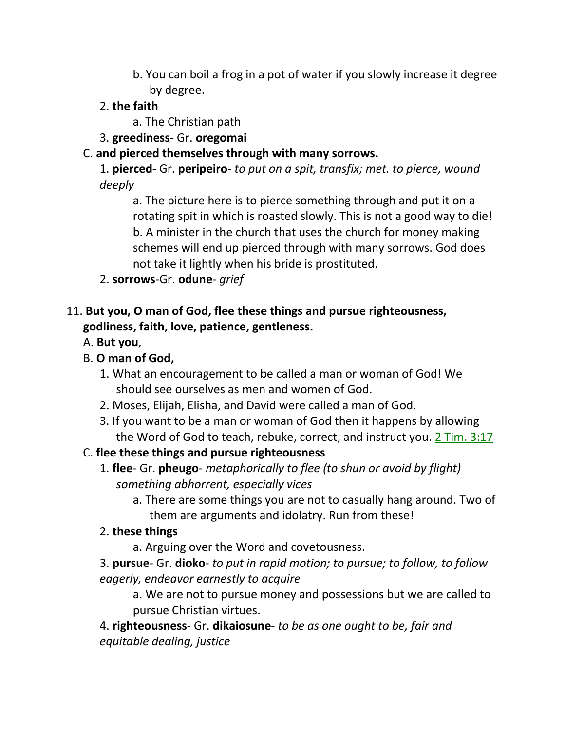b. You can boil a frog in a pot of water if you slowly increase it degree by degree.

# 2. **the faith**

- a. The Christian path
- 3. **greediness** Gr. **oregomai**

# C. **and pierced themselves through with many sorrows.**

1. **pierced**- Gr. **peripeiro**- *to put on a spit, transfix; met. to pierce, wound deeply*

a. The picture here is to pierce something through and put it on a rotating spit in which is roasted slowly. This is not a good way to die! b. A minister in the church that uses the church for money making schemes will end up pierced through with many sorrows. God does not take it lightly when his bride is prostituted.

2. **sorrows**-Gr. **odune**- *grief*

# 11. **But you, O man of God, flee these things and pursue righteousness, godliness, faith, love, patience, gentleness.**

- A. **But you**,
- B. **O man of God,**
	- 1. What an encouragement to be called a man or woman of God! We should see ourselves as men and women of God.
	- 2. Moses, Elijah, Elisha, and David were called a man of God.
	- 3. If you want to be a man or woman of God then it happens by allowing the Word of God to teach, rebuke, correct, and instruct you. 2 Tim. 3:17

# C. **flee these things and pursue righteousness**

- 1. **flee** Gr. **pheugo** *metaphorically to flee (to shun or avoid by flight) something abhorrent, especially vices*
	- a. There are some things you are not to casually hang around. Two of them are arguments and idolatry. Run from these!

# 2. **these things**

a. Arguing over the Word and covetousness.

3. **pursue**- Gr. **dioko**- *to put in rapid motion; to pursue; to follow, to follow eagerly, endeavor earnestly to acquire*

a. We are not to pursue money and possessions but we are called to pursue Christian virtues.

4. **righteousness**- Gr. **dikaiosune**- *to be as one ought to be, fair and equitable dealing, justice*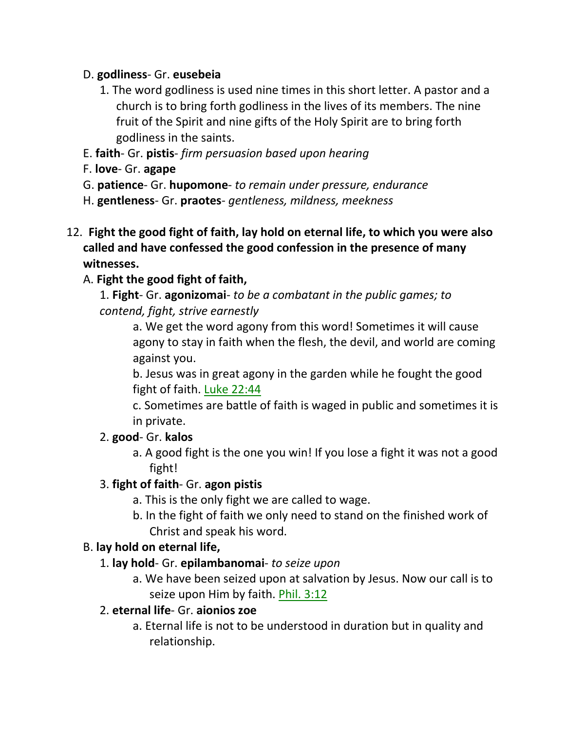### D. **godliness**- Gr. **eusebeia**

- 1. The word godliness is used nine times in this short letter. A pastor and a church is to bring forth godliness in the lives of its members. The nine fruit of the Spirit and nine gifts of the Holy Spirit are to bring forth godliness in the saints.
- E. **faith** Gr. **pistis** *firm persuasion based upon hearing*
- F. **love** Gr. **agape**
- G. **patience** Gr. **hupomone** *to remain under pressure, endurance*
- H. **gentleness** Gr. **praotes** *gentleness, mildness, meekness*
- 12. **Fight the good fight of faith, lay hold on eternal life, to which you were also called and have confessed the good confession in the presence of many witnesses.**

# A. **Fight the good fight of faith,**

1. **Fight**- Gr. **agonizomai**- *to be a combatant in the public games; to contend, fight, strive earnestly*

> a. We get the word agony from this word! Sometimes it will cause agony to stay in faith when the flesh, the devil, and world are coming against you.

b. Jesus was in great agony in the garden while he fought the good fight of faith. Luke 22:44

c. Sometimes are battle of faith is waged in public and sometimes it is in private.

## 2. **good**- Gr. **kalos**

a. A good fight is the one you win! If you lose a fight it was not a good fight!

# 3. **fight of faith**- Gr. **agon pistis**

- a. This is the only fight we are called to wage.
- b. In the fight of faith we only need to stand on the finished work of Christ and speak his word.

## B. **lay hold on eternal life,**

- 1. **lay hold** Gr. **epilambanomai** *to seize upon*
	- a. We have been seized upon at salvation by Jesus. Now our call is to seize upon Him by faith. Phil. 3:12

## 2. **eternal life**- Gr. **aionios zoe**

a. Eternal life is not to be understood in duration but in quality and relationship.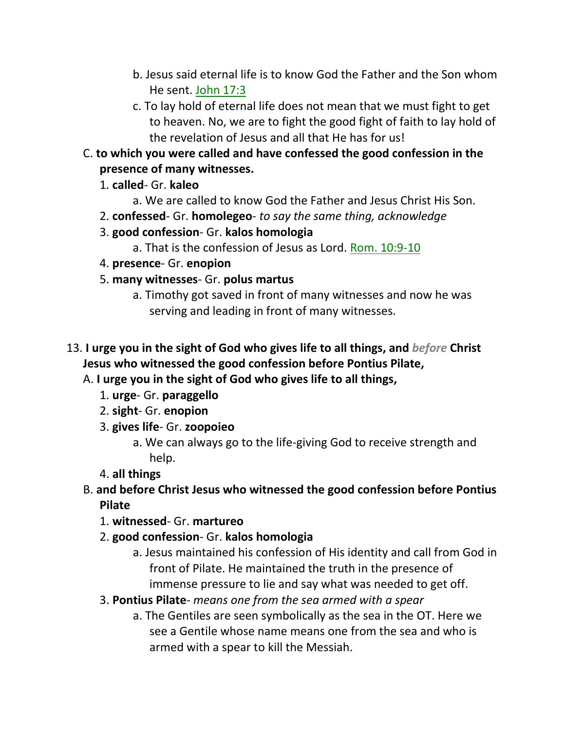- b. Jesus said eternal life is to know God the Father and the Son whom He sent. John 17:3
- c. To lay hold of eternal life does not mean that we must fight to get to heaven. No, we are to fight the good fight of faith to lay hold of the revelation of Jesus and all that He has for us!
- C. **to which you were called and have confessed the good confession in the presence of many witnesses.**
	- 1. **called** Gr. **kaleo**
		- a. We are called to know God the Father and Jesus Christ His Son.
	- 2. **confessed** Gr. **homolegeo** *to say the same thing, acknowledge*
	- 3. **good confession** Gr. **kalos homologia**
		- a. That is the confession of Jesus as Lord. Rom. 10:9-10
	- 4. **presence** Gr. **enopion**
	- 5. **many witnesses** Gr. **polus martus**
		- a. Timothy got saved in front of many witnesses and now he was serving and leading in front of many witnesses.
- 13. **I urge you in the sight of God who gives life to all things, and** *before* **Christ Jesus who witnessed the good confession before Pontius Pilate,** 
	- A. **I urge you in the sight of God who gives life to all things,**
		- 1. **urge** Gr. **paraggello**
		- 2. **sight** Gr. **enopion**
		- 3. **gives life** Gr. **zoopoieo**
			- a. We can always go to the life-giving God to receive strength and help.
		- 4. **all things**
	- B. **and before Christ Jesus who witnessed the good confession before Pontius Pilate**
		- 1. **witnessed** Gr. **martureo**
		- 2. **good confession** Gr. **kalos homologia**
			- a. Jesus maintained his confession of His identity and call from God in front of Pilate. He maintained the truth in the presence of immense pressure to lie and say what was needed to get off.
		- 3. **Pontius Pilate** *means one from the sea armed with a spear*
			- a. The Gentiles are seen symbolically as the sea in the OT. Here we see a Gentile whose name means one from the sea and who is armed with a spear to kill the Messiah.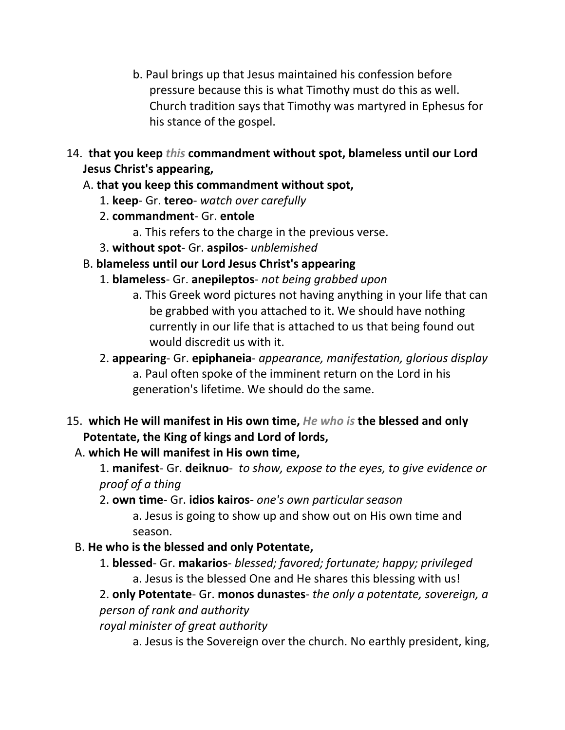- b. Paul brings up that Jesus maintained his confession before pressure because this is what Timothy must do this as well. Church tradition says that Timothy was martyred in Ephesus for his stance of the gospel.
- 14. **that you keep** *this* **commandment without spot, blameless until our Lord Jesus Christ's appearing,**

# A. **that you keep this commandment without spot,**

- 1. **keep** Gr. **tereo** *watch over carefully*
- 2. **commandment** Gr. **entole**
	- a. This refers to the charge in the previous verse.
- 3. **without spot** Gr. **aspilos** *unblemished*
- B. **blameless until our Lord Jesus Christ's appearing**
	- 1. **blameless** Gr. **anepileptos** *not being grabbed upon*
		- a. This Greek word pictures not having anything in your life that can be grabbed with you attached to it. We should have nothing currently in our life that is attached to us that being found out would discredit us with it.
	- 2. **appearing** Gr. **epiphaneia** *appearance, manifestation, glorious display* a. Paul often spoke of the imminent return on the Lord in his generation's lifetime. We should do the same.
- 15. **which He will manifest in His own time,** *He who is* **the blessed and only Potentate, the King of kings and Lord of lords,** 
	- A. **which He will manifest in His own time,**
		- 1. **manifest** Gr. **deiknuo** *to show, expose to the eyes, to give evidence or proof of a thing*
		- 2. **own time** Gr. **idios kairos** *one's own particular season* a. Jesus is going to show up and show out on His own time and season.
	- B. **He who is the blessed and only Potentate,**
		- 1. **blessed** Gr. **makarios** *blessed; favored; fortunate; happy; privileged* a. Jesus is the blessed One and He shares this blessing with us!
		- 2. **only Potentate** Gr. **monos dunastes** *the only a potentate, sovereign, a person of rank and authority*

*royal minister of great authority*

a. Jesus is the Sovereign over the church. No earthly president, king,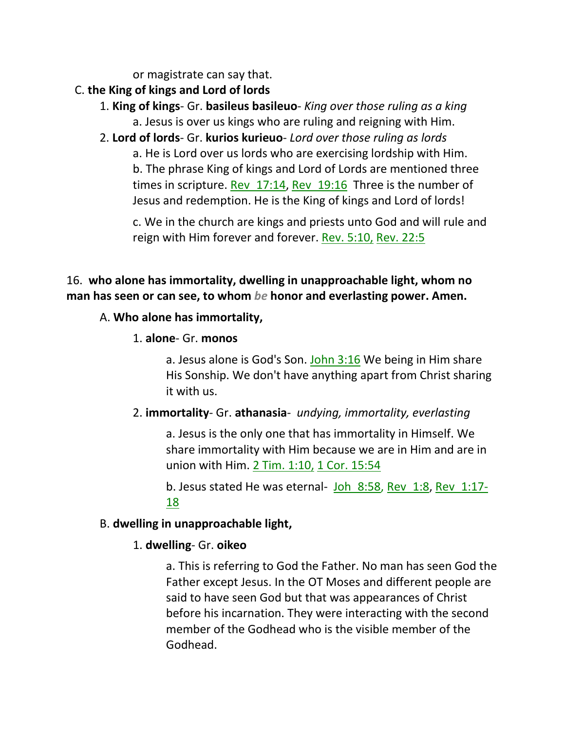or magistrate can say that.

- C. **the King of kings and Lord of lords**
	- 1. **King of kings** Gr. **basileus basileuo** *King over those ruling as a king* a. Jesus is over us kings who are ruling and reigning with Him.
	- 2. **Lord of lords** Gr. **kurios kurieuo** *Lord over those ruling as lords* a. He is Lord over us lords who are exercising lordship with Him. b. The phrase King of kings and Lord of Lords are mentioned three times in scripture. Rev 17:14, Rev 19:16 Three is the number of Jesus and redemption. He is the King of kings and Lord of lords!

c. We in the church are kings and priests unto God and will rule and reign with Him forever and forever. Rev. 5:10, Rev. 22:5

# 16. **who alone has immortality, dwelling in unapproachable light, whom no man has seen or can see, to whom** *be* **honor and everlasting power. Amen.**

## A. **Who alone has immortality,**

## 1. **alone**- Gr. **monos**

a. Jesus alone is God's Son. John 3:16 We being in Him share His Sonship. We don't have anything apart from Christ sharing it with us.

## 2. **immortality**- Gr. **athanasia**- *undying, immortality, everlasting*

a. Jesus is the only one that has immortality in Himself. We share immortality with Him because we are in Him and are in union with Him. 2 Tim. 1:10, 1 Cor. 15:54

b. Jesus stated He was eternal- Joh 8:58, Rev 1:8, Rev 1:17-18

## B. **dwelling in unapproachable light,**

# 1. **dwelling**- Gr. **oikeo**

a. This is referring to God the Father. No man has seen God the Father except Jesus. In the OT Moses and different people are said to have seen God but that was appearances of Christ before his incarnation. They were interacting with the second member of the Godhead who is the visible member of the Godhead.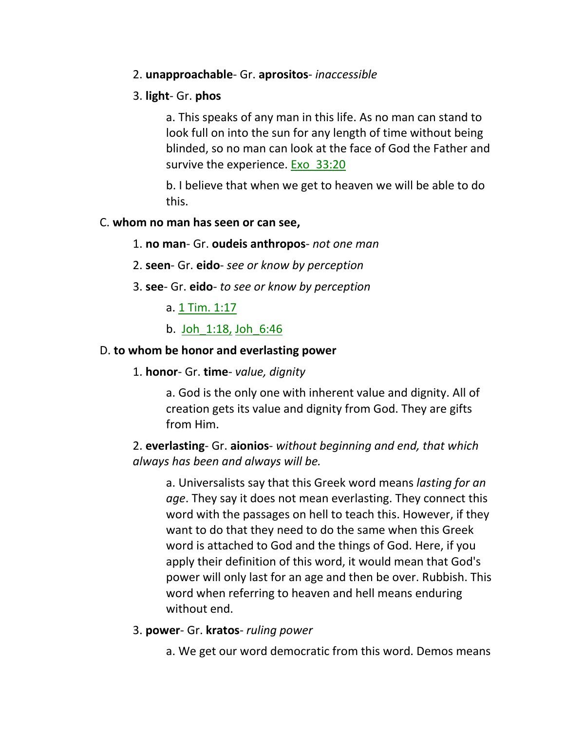#### 2. **unapproachable**- Gr. **aprositos**- *inaccessible*

#### 3. **light**- Gr. **phos**

a. This speaks of any man in this life. As no man can stand to look full on into the sun for any length of time without being blinded, so no man can look at the face of God the Father and survive the experience. Exo 33:20

b. I believe that when we get to heaven we will be able to do this.

#### C. **whom no man has seen or can see,**

#### 1. **no man**- Gr. **oudeis anthropos**- *not one man*

- 2. **seen** Gr. **eido** *see or know by perception*
- 3. **see** Gr. **eido** *to see or know by perception*
	- a. 1 Tim. 1:17
	- b. Joh\_1:18, Joh\_6:46

#### D. **to whom be honor and everlasting power**

1. **honor**- Gr. **time**- *value, dignity*

a. God is the only one with inherent value and dignity. All of creation gets its value and dignity from God. They are gifts from Him.

### 2. **everlasting**- Gr. **aionios**- *without beginning and end, that which always has been and always will be.*

a. Universalists say that this Greek word means *lasting for an age*. They say it does not mean everlasting. They connect this word with the passages on hell to teach this. However, if they want to do that they need to do the same when this Greek word is attached to God and the things of God. Here, if you apply their definition of this word, it would mean that God's power will only last for an age and then be over. Rubbish. This word when referring to heaven and hell means enduring without end.

- 3. **power** Gr. **kratos** *ruling power*
	- a. We get our word democratic from this word. Demos means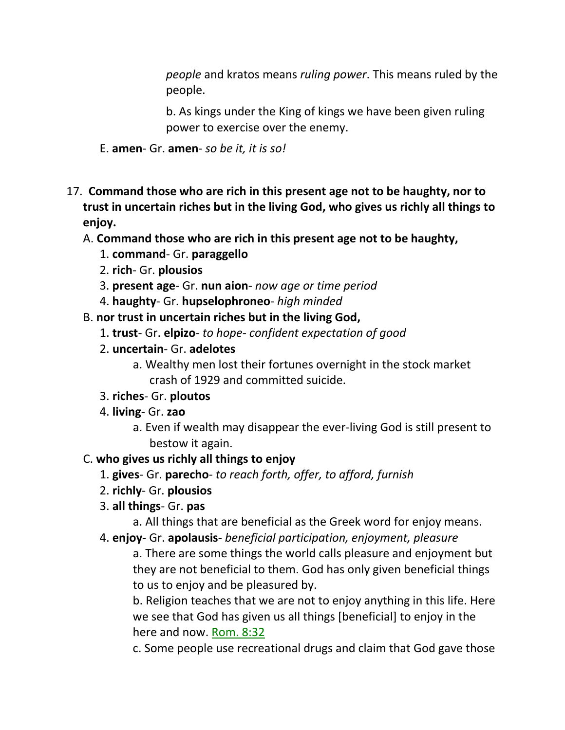*people* and kratos means *ruling power*. This means ruled by the people.

b. As kings under the King of kings we have been given ruling power to exercise over the enemy.

- E. **amen** Gr. **amen** *so be it, it is so!*
- 17. **Command those who are rich in this present age not to be haughty, nor to trust in uncertain riches but in the living God, who gives us richly all things to enjoy.**

#### A. **Command those who are rich in this present age not to be haughty,**

- 1. **command** Gr. **paraggello**
- 2. **rich** Gr. **plousios**
- 3. **present age** Gr. **nun aion** *now age or time period*
- 4. **haughty** Gr. **hupselophroneo** *high minded*
- B. **nor trust in uncertain riches but in the living God,**
	- 1. **trust** Gr. **elpizo** *to hope- confident expectation of good*
	- 2. **uncertain** Gr. **adelotes**
		- a. Wealthy men lost their fortunes overnight in the stock market crash of 1929 and committed suicide.
	- 3. **riches** Gr. **ploutos**
	- 4. **living** Gr. **zao**
		- a. Even if wealth may disappear the ever-living God is still present to bestow it again.

## C. **who gives us richly all things to enjoy**

- 1. **gives** Gr. **parecho** *to reach forth, offer, to afford, furnish*
- 2. **richly** Gr. **plousios**
- 3. **all things** Gr. **pas**
	- a. All things that are beneficial as the Greek word for enjoy means.
- 4. **enjoy** Gr. **apolausis** *beneficial participation, enjoyment, pleasure*

a. There are some things the world calls pleasure and enjoyment but they are not beneficial to them. God has only given beneficial things to us to enjoy and be pleasured by.

b. Religion teaches that we are not to enjoy anything in this life. Here we see that God has given us all things [beneficial] to enjoy in the here and now. Rom. 8:32

c. Some people use recreational drugs and claim that God gave those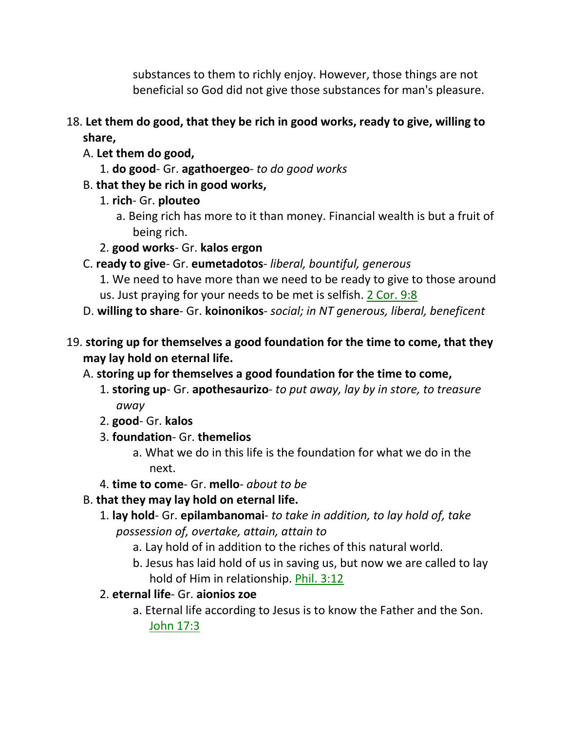substances to them to richly enjoy. However, those things are not beneficial so God did not give those substances for man's pleasure.

- 18. **Let them do good, that they be rich in good works, ready to give, willing to share,** 
	- A. **Let them do good,**
		- 1. **do good** Gr. **agathoergeo** *to do good works*
	- B. **that they be rich in good works,**
		- 1. **rich** Gr. **plouteo**
			- a. Being rich has more to it than money. Financial wealth is but a fruit of being rich.
		- 2. **good works** Gr. **kalos ergon**
	- C. **ready to give** Gr. **eumetadotos** *liberal, bountiful, generous*
		- 1. We need to have more than we need to be ready to give to those around us. Just praying for your needs to be met is selfish. 2 Cor. 9:8
	- D. **willing to share** Gr. **koinonikos** *social; in NT generous, liberal, beneficent*
- 19. **storing up for themselves a good foundation for the time to come, that they may lay hold on eternal life.**
	- A. **storing up for themselves a good foundation for the time to come,**
		- 1. **storing up** Gr. **apothesaurizo** *to put away, lay by in store, to treasure away*
		- 2. **good** Gr. **kalos**
		- 3. **foundation** Gr. **themelios**
			- a. What we do in this life is the foundation for what we do in the next.
		- 4. **time to come** Gr. **mello** *about to be*
	- B. **that they may lay hold on eternal life.**
		- 1. **lay hold** Gr. **epilambanomai** *to take in addition, to lay hold of, take possession of, overtake, attain, attain to*
			- a. Lay hold of in addition to the riches of this natural world.
			- b. Jesus has laid hold of us in saving us, but now we are called to lay hold of Him in relationship. Phil. 3:12
		- 2. **eternal life** Gr. **aionios zoe**
			- a. Eternal life according to Jesus is to know the Father and the Son. John 17:3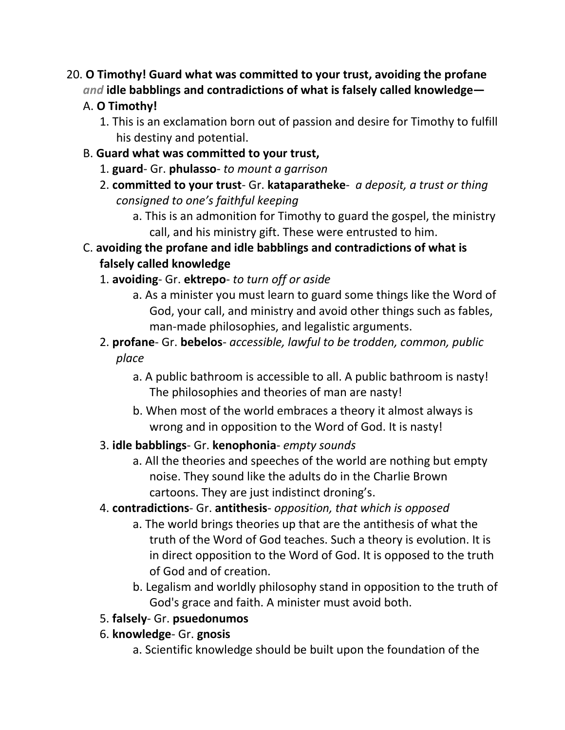# 20. **O Timothy! Guard what was committed to your trust, avoiding the profane**  *and* **idle babblings and contradictions of what is falsely called knowledge—**

# A. **O Timothy!**

- 1. This is an exclamation born out of passion and desire for Timothy to fulfill his destiny and potential.
- B. **Guard what was committed to your trust,**
	- 1. **guard** Gr. **phulasso** *to mount a garrison*
	- 2. **committed to your trust** Gr. **kataparatheke** *a deposit, a trust or thing consigned to one's faithful keeping*
		- a. This is an admonition for Timothy to guard the gospel, the ministry call, and his ministry gift. These were entrusted to him.
- C. **avoiding the profane and idle babblings and contradictions of what is falsely called knowledge**

# 1. **avoiding**- Gr. **ektrepo**- *to turn off or aside*

- a. As a minister you must learn to guard some things like the Word of God, your call, and ministry and avoid other things such as fables, man-made philosophies, and legalistic arguments.
- 2. **profane** Gr. **bebelos** *accessible, lawful to be trodden, common, public place*
	- a. A public bathroom is accessible to all. A public bathroom is nasty! The philosophies and theories of man are nasty!
	- b. When most of the world embraces a theory it almost always is wrong and in opposition to the Word of God. It is nasty!

# 3. **idle babblings**- Gr. **kenophonia**- *empty sounds*

a. All the theories and speeches of the world are nothing but empty noise. They sound like the adults do in the Charlie Brown cartoons. They are just indistinct droning's.

# 4. **contradictions**- Gr. **antithesis**- *opposition, that which is opposed*

- a. The world brings theories up that are the antithesis of what the truth of the Word of God teaches. Such a theory is evolution. It is in direct opposition to the Word of God. It is opposed to the truth of God and of creation.
- b. Legalism and worldly philosophy stand in opposition to the truth of God's grace and faith. A minister must avoid both.

# 5. **falsely**- Gr. **psuedonumos**

- 6. **knowledge** Gr. **gnosis**
	- a. Scientific knowledge should be built upon the foundation of the